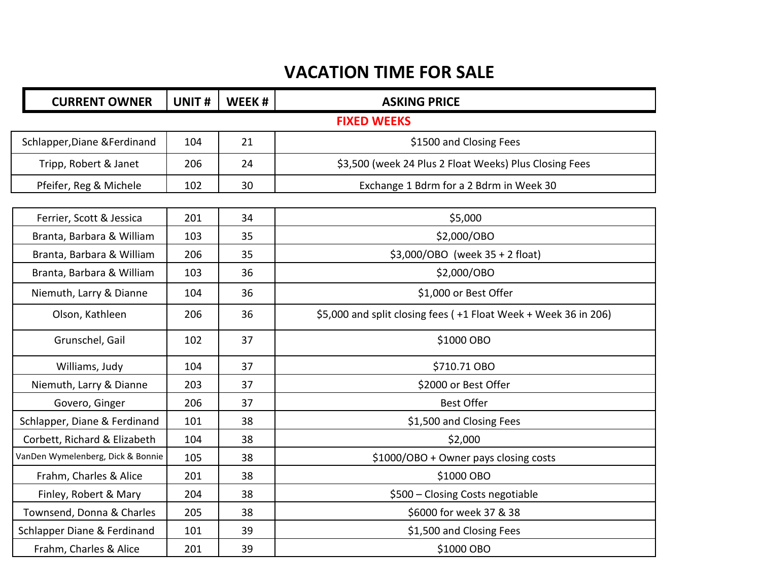## **VACATION TIME FOR SALE**

| <b>CURRENT OWNER</b>              | UNIT# | WEEK# | <b>ASKING PRICE</b>                                             |
|-----------------------------------|-------|-------|-----------------------------------------------------------------|
|                                   |       |       | <b>FIXED WEEKS</b>                                              |
| Schlapper, Diane & Ferdinand      | 104   | 21    | \$1500 and Closing Fees                                         |
| Tripp, Robert & Janet             | 206   | 24    | \$3,500 (week 24 Plus 2 Float Weeks) Plus Closing Fees          |
| Pfeifer, Reg & Michele            | 102   | 30    | Exchange 1 Bdrm for a 2 Bdrm in Week 30                         |
|                                   |       |       |                                                                 |
| Ferrier, Scott & Jessica          | 201   | 34    | \$5,000                                                         |
| Branta, Barbara & William         | 103   | 35    | \$2,000/OBO                                                     |
| Branta, Barbara & William         | 206   | 35    | \$3,000/OBO (week 35 + 2 float)                                 |
| Branta, Barbara & William         | 103   | 36    | \$2,000/OBO                                                     |
| Niemuth, Larry & Dianne           | 104   | 36    | \$1,000 or Best Offer                                           |
| Olson, Kathleen                   | 206   | 36    | \$5,000 and split closing fees (+1 Float Week + Week 36 in 206) |
| Grunschel, Gail                   | 102   | 37    | \$1000 OBO                                                      |
| Williams, Judy                    | 104   | 37    | \$710.71 OBO                                                    |
| Niemuth, Larry & Dianne           | 203   | 37    | \$2000 or Best Offer                                            |
| Govero, Ginger                    | 206   | 37    | <b>Best Offer</b>                                               |
| Schlapper, Diane & Ferdinand      | 101   | 38    | \$1,500 and Closing Fees                                        |
| Corbett, Richard & Elizabeth      | 104   | 38    | \$2,000                                                         |
| VanDen Wymelenberg, Dick & Bonnie | 105   | 38    | \$1000/OBO + Owner pays closing costs                           |
| Frahm, Charles & Alice            | 201   | 38    | \$1000 OBO                                                      |
| Finley, Robert & Mary             | 204   | 38    | \$500 - Closing Costs negotiable                                |
| Townsend, Donna & Charles         | 205   | 38    | \$6000 for week 37 & 38                                         |
| Schlapper Diane & Ferdinand       | 101   | 39    | \$1,500 and Closing Fees                                        |
| Frahm, Charles & Alice            | 201   | 39    | \$1000 OBO                                                      |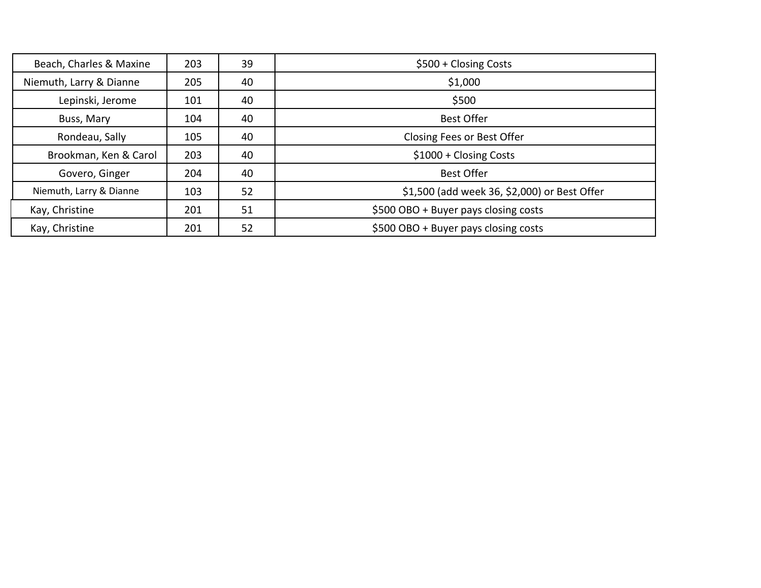| Beach, Charles & Maxine | 203 | 39 | \$500 + Closing Costs                        |
|-------------------------|-----|----|----------------------------------------------|
| Niemuth, Larry & Dianne | 205 | 40 | \$1,000                                      |
| Lepinski, Jerome        | 101 | 40 | \$500                                        |
| Buss, Mary              | 104 | 40 | <b>Best Offer</b>                            |
| Rondeau, Sally          | 105 | 40 | Closing Fees or Best Offer                   |
| Brookman, Ken & Carol   | 203 | 40 | $$1000 + Closing Costs$                      |
| Govero, Ginger          | 204 | 40 | <b>Best Offer</b>                            |
| Niemuth, Larry & Dianne | 103 | 52 | \$1,500 (add week 36, \$2,000) or Best Offer |
| Kay, Christine          | 201 | 51 | \$500 OBO + Buyer pays closing costs         |
| Kay, Christine          | 201 | 52 | \$500 OBO + Buyer pays closing costs         |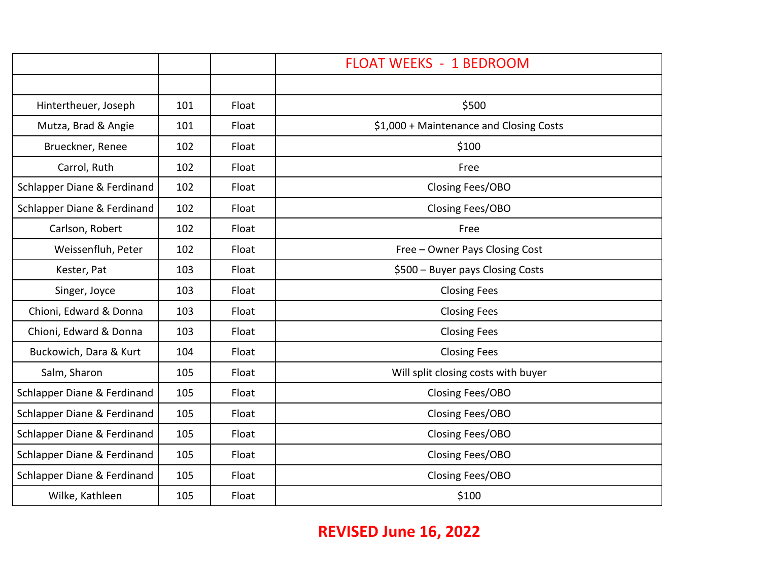|                             |     |       | <b>FLOAT WEEKS - 1 BEDROOM</b>          |
|-----------------------------|-----|-------|-----------------------------------------|
|                             |     |       |                                         |
| Hintertheuer, Joseph        | 101 | Float | \$500                                   |
| Mutza, Brad & Angie         | 101 | Float | \$1,000 + Maintenance and Closing Costs |
| Brueckner, Renee            | 102 | Float | \$100                                   |
| Carrol, Ruth                | 102 | Float | Free                                    |
| Schlapper Diane & Ferdinand | 102 | Float | Closing Fees/OBO                        |
| Schlapper Diane & Ferdinand | 102 | Float | Closing Fees/OBO                        |
| Carlson, Robert             | 102 | Float | Free                                    |
| Weissenfluh, Peter          | 102 | Float | Free - Owner Pays Closing Cost          |
| Kester, Pat                 | 103 | Float | \$500 - Buyer pays Closing Costs        |
| Singer, Joyce               | 103 | Float | <b>Closing Fees</b>                     |
| Chioni, Edward & Donna      | 103 | Float | <b>Closing Fees</b>                     |
| Chioni, Edward & Donna      | 103 | Float | <b>Closing Fees</b>                     |
| Buckowich, Dara & Kurt      | 104 | Float | <b>Closing Fees</b>                     |
| Salm, Sharon                | 105 | Float | Will split closing costs with buyer     |
| Schlapper Diane & Ferdinand | 105 | Float | Closing Fees/OBO                        |
| Schlapper Diane & Ferdinand | 105 | Float | Closing Fees/OBO                        |
| Schlapper Diane & Ferdinand | 105 | Float | Closing Fees/OBO                        |
| Schlapper Diane & Ferdinand | 105 | Float | Closing Fees/OBO                        |
| Schlapper Diane & Ferdinand | 105 | Float | Closing Fees/OBO                        |
| Wilke, Kathleen             | 105 | Float | \$100                                   |

## **REVISED June 16, 2022**